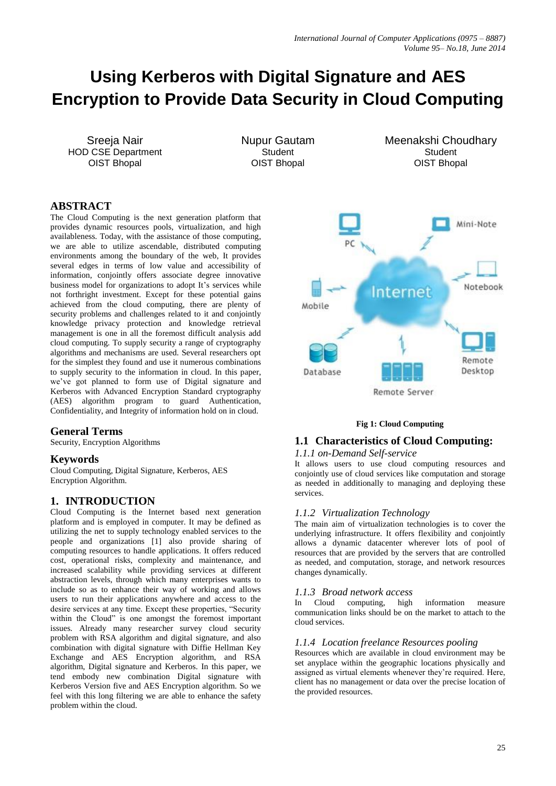# **Using Kerberos with Digital Signature and AES Encryption to Provide Data Security in Cloud Computing**

Sreeja Nair HOD CSE Department OIST Bhopal

Nupur Gautam **Student** OIST Bhopal

Meenakshi Choudhary **Student** OIST Bhopal

# **ABSTRACT**

The Cloud Computing is the next generation platform that provides dynamic resources pools, virtualization, and high availableness. Today, with the assistance of those computing, we are able to utilize ascendable, distributed computing environments among the boundary of the web, It provides several edges in terms of low value and accessibility of information, conjointly offers associate degree innovative business model for organizations to adopt It's services while not forthright investment. Except for these potential gains achieved from the cloud computing, there are plenty of security problems and challenges related to it and conjointly knowledge privacy protection and knowledge retrieval management is one in all the foremost difficult analysis add cloud computing. To supply security a range of cryptography algorithms and mechanisms are used. Several researchers opt for the simplest they found and use it numerous combinations to supply security to the information in cloud. In this paper, we've got planned to form use of Digital signature and Kerberos with Advanced Encryption Standard cryptography (AES) algorithm program to guard Authentication, Confidentiality, and Integrity of information hold on in cloud.

# **General Terms**

Security, Encryption Algorithms

#### **Keywords**

Cloud Computing, Digital Signature, Kerberos, AES Encryption Algorithm.

# **1. INTRODUCTION**

Cloud Computing is the Internet based next generation platform and is employed in computer. It may be defined as utilizing the net to supply technology enabled services to the people and organizations [1] also provide sharing of computing resources to handle applications. It offers reduced cost, operational risks, complexity and maintenance, and increased scalability while providing services at different abstraction levels, through which many enterprises wants to include so as to enhance their way of working and allows users to run their applications anywhere and access to the desire services at any time. Except these properties, "Security within the Cloud" is one amongst the foremost important issues. Already many researcher survey cloud security problem with RSA algorithm and digital signature, and also combination with digital signature with Diffie Hellman Key Exchange and AES Encryption algorithm, and RSA algorithm, Digital signature and Kerberos. In this paper, we tend embody new combination Digital signature with Kerberos Version five and AES Encryption algorithm. So we feel with this long filtering we are able to enhance the safety problem within the cloud.



#### **Fig 1: Cloud Computing**

## **1.1 Characteristics of Cloud Computing:**

#### *1.1.1 on-Demand Self-service*

It allows users to use cloud computing resources and conjointly use of cloud services like computation and storage as needed in additionally to managing and deploying these services.

#### *1.1.2 Virtualization Technology*

The main aim of virtualization technologies is to cover the underlying infrastructure. It offers flexibility and conjointly allows a dynamic datacenter wherever lots of pool of resources that are provided by the servers that are controlled as needed, and computation, storage, and network resources changes dynamically.

#### *1.1.3 Broad network access*

In Cloud computing, high information measure communication links should be on the market to attach to the cloud services.

#### *1.1.4 Location freelance Resources pooling*

Resources which are available in cloud environment may be set anyplace within the geographic locations physically and assigned as virtual elements whenever they're required. Here, client has no management or data over the precise location of the provided resources.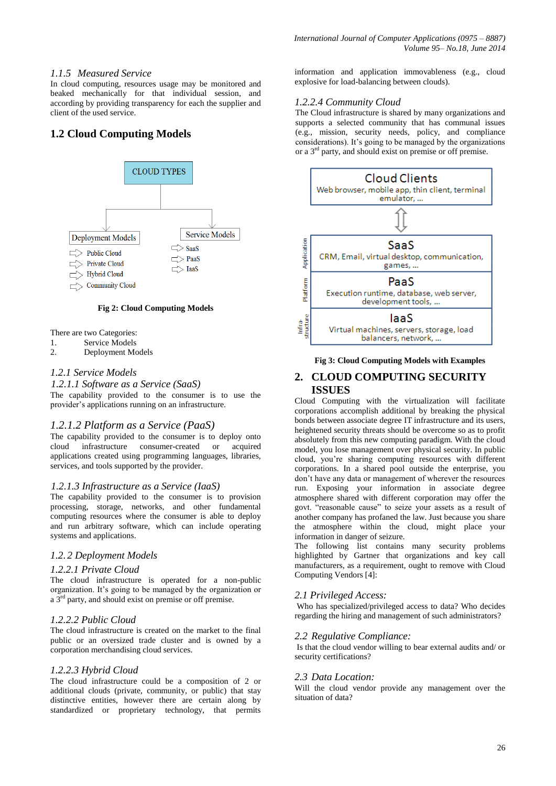## *1.1.5 Measured Service*

In cloud computing, resources usage may be monitored and beaked mechanically for that individual session, and according by providing transparency for each the supplier and client of the used service.

# **1.2 Cloud Computing Models**



**Fig 2: Cloud Computing Models**

There are two Categories:

- 1. Service Models
- 2. Deployment Models

#### *1.2.1 Service Models*

#### *1.2.1.1 Software as a Service (SaaS)*

The capability provided to the consumer is to use the provider's applications running on an infrastructure.

#### *1.2.1.2 Platform as a Service (PaaS)*

The capability provided to the consumer is to deploy onto<br>cloud infrastructure consumer-created or acquired infrastructure consumer-created or acquired applications created using programming languages, libraries, services, and tools supported by the provider.

#### *1.2.1.3 Infrastructure as a Service (IaaS)*

The capability provided to the consumer is to provision processing, storage, networks, and other fundamental computing resources where the consumer is able to deploy and run arbitrary software, which can include operating systems and applications.

# *1.2. 2 Deployment Models*

#### *1.2.2.1 Private Cloud*

The cloud infrastructure is operated for a non-public organization. It's going to be managed by the organization or a  $3<sup>rd</sup>$  party, and should exist on premise or off premise.

#### *1.2.2.2 Public Cloud*

The cloud infrastructure is created on the market to the final public or an oversized trade cluster and is owned by a corporation merchandising cloud services.

#### *1.2.2.3 Hybrid Cloud*

The cloud infrastructure could be a composition of 2 or additional clouds (private, community, or public) that stay distinctive entities, however there are certain along by standardized or proprietary technology, that permits

information and application immovableness (e.g., cloud explosive for load-balancing between clouds).

#### *1.2.2.4 Community Cloud*

The Cloud infrastructure is shared by many organizations and supports a selected community that has communal issues (e.g., mission, security needs, policy, and compliance considerations). It's going to be managed by the organizations or a 3rd party, and should exist on premise or off premise.



## **Fig 3: Cloud Computing Models with Examples**

## **2. CLOUD COMPUTING SECURITY ISSUES**

Cloud Computing with the virtualization will facilitate corporations accomplish additional by breaking the physical bonds between associate degree IT infrastructure and its users, heightened security threats should be overcome so as to profit absolutely from this new computing paradigm. With the cloud model, you lose management over physical security. In public cloud, you're sharing computing resources with different corporations. In a shared pool outside the enterprise, you don't have any data or management of wherever the resources run. Exposing your information in associate degree atmosphere shared with different corporation may offer the govt. "reasonable cause" to seize your assets as a result of another company has profaned the law. Just because you share the atmosphere within the cloud, might place your information in danger of seizure.

The following list contains many security problems highlighted by Gartner that organizations and key call manufacturers, as a requirement, ought to remove with Cloud Computing Vendors [4]:

#### *2.1 Privileged Access:*

Who has specialized/privileged access to data? Who decides regarding the hiring and management of such administrators?

#### *2.2 Regulative Compliance:*

Is that the cloud vendor willing to bear external audits and/ or security certifications?

#### *2.3 Data Location:*

Will the cloud vendor provide any management over the situation of data?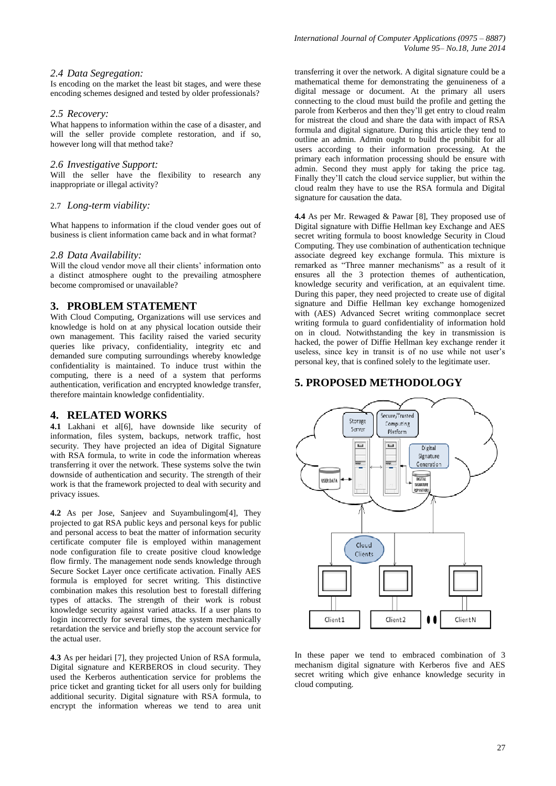#### *2.4 Data Segregation:*

Is encoding on the market the least bit stages, and were these encoding schemes designed and tested by older professionals?

#### *2.5 Recovery:*

What happens to information within the case of a disaster, and will the seller provide complete restoration, and if so, however long will that method take?

#### *2.6 Investigative Support:*

Will the seller have the flexibility to research any inappropriate or illegal activity?

## 2.7 *Long-term viability:*

What happens to information if the cloud vender goes out of business is client information came back and in what format?

## *2.8 Data Availability:*

Will the cloud vendor move all their clients' information onto a distinct atmosphere ought to the prevailing atmosphere become compromised or unavailable?

# **3. PROBLEM STATEMENT**

With Cloud Computing, Organizations will use services and knowledge is hold on at any physical location outside their own management. This facility raised the varied security queries like privacy, confidentiality, integrity etc and demanded sure computing surroundings whereby knowledge confidentiality is maintained. To induce trust within the computing, there is a need of a system that performs authentication, verification and encrypted knowledge transfer, therefore maintain knowledge confidentiality.

# **4. RELATED WORKS**

4.1 Lakhani et all6l, have downside like security of information, files system, backups, network traffic, host security. They have projected an idea of Digital Signature with RSA formula, to write in code the information whereas transferring it over the network. These systems solve the twin downside of authentication and security. The strength of their work is that the framework projected to deal with security and privacy issues.

**4.2** As per Jose, Sanjeev and Suyambulingom[4], They projected to gat RSA public keys and personal keys for public and personal access to beat the matter of information security certificate computer file is employed within management node configuration file to create positive cloud knowledge flow firmly. The management node sends knowledge through Secure Socket Layer once certificate activation. Finally AES formula is employed for secret writing. This distinctive combination makes this resolution best to forestall differing types of attacks. The strength of their work is robust knowledge security against varied attacks. If a user plans to login incorrectly for several times, the system mechanically retardation the service and briefly stop the account service for the actual user.

**4.3** As per heidari [7], they projected Union of RSA formula, Digital signature and KERBEROS in cloud security. They used the Kerberos authentication service for problems the price ticket and granting ticket for all users only for building additional security. Digital signature with RSA formula, to encrypt the information whereas we tend to area unit

transferring it over the network. A digital signature could be a mathematical theme for demonstrating the genuineness of a digital message or document. At the primary all users connecting to the cloud must build the profile and getting the parole from Kerberos and then they'll get entry to cloud realm for mistreat the cloud and share the data with impact of RSA formula and digital signature. During this article they tend to outline an admin. Admin ought to build the prohibit for all users according to their information processing. At the primary each information processing should be ensure with admin. Second they must apply for taking the price tag. Finally they'll catch the cloud service supplier, but within the cloud realm they have to use the RSA formula and Digital signature for causation the data.

**4.4** As per Mr. Rewaged & Pawar [8], They proposed use of Digital signature with Diffie Hellman key Exchange and AES secret writing formula to boost knowledge Security in Cloud Computing. They use combination of authentication technique associate degreed key exchange formula. This mixture is remarked as "Three manner mechanisms" as a result of it ensures all the 3 protection themes of authentication, knowledge security and verification, at an equivalent time. During this paper, they need projected to create use of digital signature and Diffie Hellman key exchange homogenized with (AES) Advanced Secret writing commonplace secret writing formula to guard confidentiality of information hold on in cloud. Notwithstanding the key in transmission is hacked, the power of Diffie Hellman key exchange render it useless, since key in transit is of no use while not user's personal key, that is confined solely to the legitimate user.

# **5. PROPOSED METHODOLOGY**



In these paper we tend to embraced combination of 3 mechanism digital signature with Kerberos five and AES secret writing which give enhance knowledge security in cloud computing.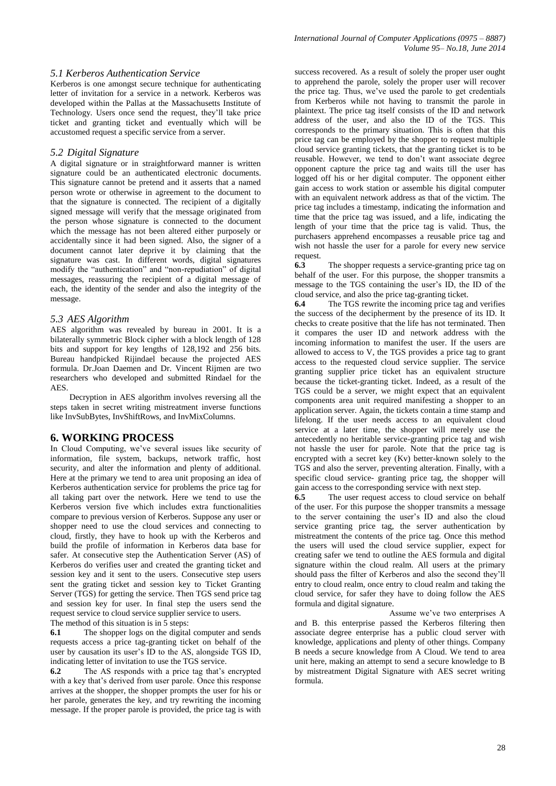#### *5.1 Kerberos Authentication Service*

Kerberos is one amongst secure technique for authenticating letter of invitation for a service in a network. Kerberos was developed within the Pallas at the Massachusetts Institute of Technology. Users once send the request, they'll take price ticket and granting ticket and eventually which will be accustomed request a specific service from a server.

#### *5.2 Digital Signature*

A digital signature or in straightforward manner is written signature could be an authenticated electronic documents. This signature cannot be pretend and it asserts that a named person wrote or otherwise in agreement to the document to that the signature is connected. The recipient of a digitally signed message will verify that the message originated from the person whose signature is connected to the document which the message has not been altered either purposely or accidentally since it had been signed. Also, the signer of a document cannot later deprive it by claiming that the signature was cast. In different words, digital signatures modify the "authentication" and "non-repudiation" of digital messages, reassuring the recipient of a digital message of each, the identity of the sender and also the integrity of the message.

#### *5.3 AES Algorithm*

AES algorithm was revealed by bureau in 2001. It is a bilaterally symmetric Block cipher with a block length of 128 bits and support for key lengths of 128,192 and 256 bits. Bureau handpicked Rijindael because the projected AES formula. Dr.Joan Daemen and Dr. Vincent Rijmen are two researchers who developed and submitted Rindael for the **AES** 

 Decryption in AES algorithm involves reversing all the steps taken in secret writing mistreatment inverse functions like InvSubBytes, InvShiftRows, and InvMixColumns.

# **6. WORKING PROCESS**

In Cloud Computing, we've several issues like security of information, file system, backups, network traffic, host security, and alter the information and plenty of additional. Here at the primary we tend to area unit proposing an idea of Kerberos authentication service for problems the price tag for all taking part over the network. Here we tend to use the Kerberos version five which includes extra functionalities compare to previous version of Kerberos. Suppose any user or shopper need to use the cloud services and connecting to cloud, firstly, they have to hook up with the Kerberos and build the profile of information in Kerberos data base for safer. At consecutive step the Authentication Server (AS) of Kerberos do verifies user and created the granting ticket and session key and it sent to the users. Consecutive step users sent the grating ticket and session key to Ticket Granting Server (TGS) for getting the service. Then TGS send price tag and session key for user. In final step the users send the request service to cloud service supplier service to users.

The method of this situation is in 5 steps:

**6.1** The shopper logs on the digital computer and sends requests access a price tag-granting ticket on behalf of the user by causation its user's ID to the AS, alongside TGS ID, indicating letter of invitation to use the TGS service.

**6.2** The AS responds with a price tag that's encrypted with a key that's derived from user parole. Once this response arrives at the shopper, the shopper prompts the user for his or her parole, generates the key, and try rewriting the incoming message. If the proper parole is provided, the price tag is with

success recovered. As a result of solely the proper user ought to apprehend the parole, solely the proper user will recover the price tag. Thus, we've used the parole to get credentials from Kerberos while not having to transmit the parole in plaintext. The price tag itself consists of the ID and network address of the user, and also the ID of the TGS. This corresponds to the primary situation. This is often that this price tag can be employed by the shopper to request multiple cloud service granting tickets, that the granting ticket is to be reusable. However, we tend to don't want associate degree opponent capture the price tag and waits till the user has logged off his or her digital computer. The opponent either gain access to work station or assemble his digital computer with an equivalent network address as that of the victim. The price tag includes a timestamp, indicating the information and time that the price tag was issued, and a life, indicating the length of your time that the price tag is valid. Thus, the purchasers apprehend encompasses a reusable price tag and wish not hassle the user for a parole for every new service request.

**6.3** The shopper requests a service-granting price tag on behalf of the user. For this purpose, the shopper transmits a message to the TGS containing the user's ID, the ID of the cloud service, and also the price tag-granting ticket.

**6.4** The TGS rewrite the incoming price tag and verifies the success of the decipherment by the presence of its ID. It checks to create positive that the life has not terminated. Then it compares the user ID and network address with the incoming information to manifest the user. If the users are allowed to access to V, the TGS provides a price tag to grant access to the requested cloud service supplier. The service granting supplier price ticket has an equivalent structure because the ticket-granting ticket. Indeed, as a result of the TGS could be a server, we might expect that an equivalent components area unit required manifesting a shopper to an application server. Again, the tickets contain a time stamp and lifelong. If the user needs access to an equivalent cloud service at a later time, the shopper will merely use the antecedently no heritable service-granting price tag and wish not hassle the user for parole. Note that the price tag is encrypted with a secret key (Kv) better-known solely to the TGS and also the server, preventing alteration. Finally, with a specific cloud service- granting price tag, the shopper will gain access to the corresponding service with next step.

**6.5** The user request access to cloud service on behalf of the user. For this purpose the shopper transmits a message to the server containing the user's ID and also the cloud service granting price tag, the server authentication by mistreatment the contents of the price tag. Once this method the users will used the cloud service supplier, expect for creating safer we tend to outline the AES formula and digital signature within the cloud realm. All users at the primary should pass the filter of Kerberos and also the second they'll entry to cloud realm, once entry to cloud realm and taking the cloud service, for safer they have to doing follow the AES formula and digital signature.

 Assume we've two enterprises A and B. this enterprise passed the Kerberos filtering then associate degree enterprise has a public cloud server with knowledge, applications and plenty of other things. Company B needs a secure knowledge from A Cloud. We tend to area unit here, making an attempt to send a secure knowledge to B by mistreatment Digital Signature with AES secret writing formula.